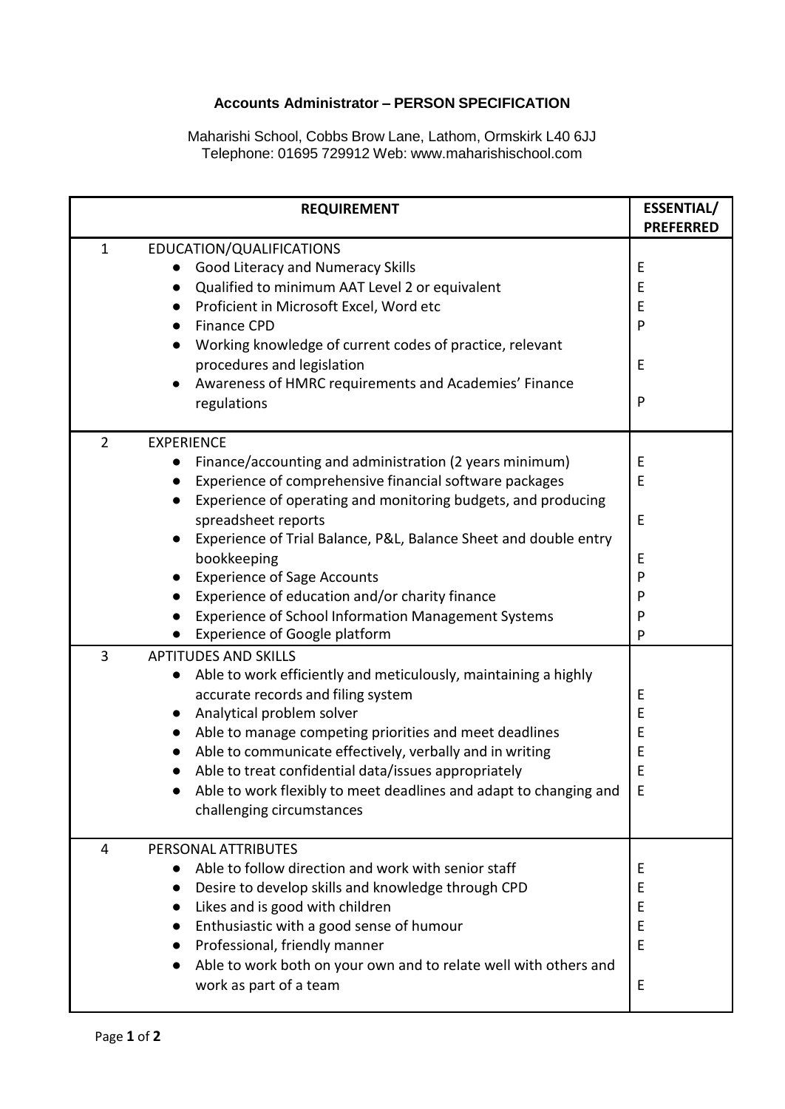## **Accounts Administrator – PERSON SPECIFICATION**

Maharishi School, Cobbs Brow Lane, Lathom, Ormskirk L40 6JJ Telephone: 01695 729912 Web: [www.maharishischool.com](http://www.maharishischool.com/)

|                | <b>REQUIREMENT</b>                                                           | <b>ESSENTIAL/</b><br><b>PREFERRED</b> |
|----------------|------------------------------------------------------------------------------|---------------------------------------|
| $\mathbf 1$    | EDUCATION/QUALIFICATIONS                                                     |                                       |
|                | Good Literacy and Numeracy Skills                                            | Е                                     |
|                | Qualified to minimum AAT Level 2 or equivalent<br>$\bullet$                  | E                                     |
|                | Proficient in Microsoft Excel, Word etc                                      | E                                     |
|                | <b>Finance CPD</b>                                                           | P                                     |
|                | Working knowledge of current codes of practice, relevant                     |                                       |
|                | procedures and legislation                                                   | E                                     |
|                | Awareness of HMRC requirements and Academies' Finance                        |                                       |
|                | regulations                                                                  | P                                     |
|                |                                                                              |                                       |
| $\overline{2}$ | <b>EXPERIENCE</b>                                                            |                                       |
|                | Finance/accounting and administration (2 years minimum)<br>$\bullet$         | E                                     |
|                | Experience of comprehensive financial software packages                      | E                                     |
|                | Experience of operating and monitoring budgets, and producing                |                                       |
|                | spreadsheet reports                                                          | E                                     |
|                | Experience of Trial Balance, P&L, Balance Sheet and double entry             |                                       |
|                | bookkeeping                                                                  | E                                     |
|                | <b>Experience of Sage Accounts</b>                                           | P                                     |
|                | Experience of education and/or charity finance                               | P                                     |
|                | <b>Experience of School Information Management Systems</b>                   | P                                     |
|                | <b>Experience of Google platform</b>                                         | P                                     |
| 3              | <b>APTITUDES AND SKILLS</b>                                                  |                                       |
|                | Able to work efficiently and meticulously, maintaining a highly<br>$\bullet$ |                                       |
|                | accurate records and filing system                                           | Ε                                     |
|                | Analytical problem solver                                                    | E                                     |
|                | Able to manage competing priorities and meet deadlines                       | E                                     |
|                | Able to communicate effectively, verbally and in writing                     | E                                     |
|                | Able to treat confidential data/issues appropriately                         | E                                     |
|                | Able to work flexibly to meet deadlines and adapt to changing and            | E                                     |
|                | challenging circumstances                                                    |                                       |
| 4              | PERSONAL ATTRIBUTES                                                          |                                       |
|                | Able to follow direction and work with senior staff                          | Ε                                     |
|                | Desire to develop skills and knowledge through CPD                           | E                                     |
|                | Likes and is good with children                                              | E                                     |
|                | Enthusiastic with a good sense of humour                                     | E                                     |
|                | Professional, friendly manner                                                | E                                     |
|                | Able to work both on your own and to relate well with others and             |                                       |
|                | work as part of a team                                                       | E                                     |
|                |                                                                              |                                       |